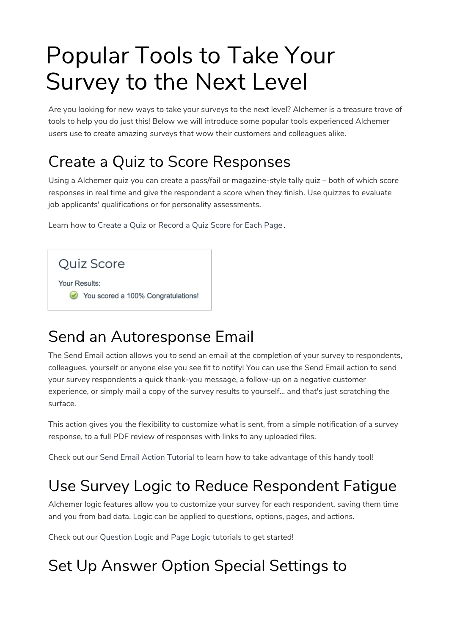# Popular Tools to Take Your Survey to the Next Level

Are you looking for new ways to take your surveys to the next level? Alchemer is a treasure trove of tools to help you do just this! Below we will introduce some popular tools experienced Alchemer users use to create amazing surveys that wow their customers and colleagues alike.

# Create a Quiz to Score Responses

Using a Alchemer quiz you can create a pass/fail or magazine-style tally quiz – both of which score responses in real time and give the respondent a score when they finish. Use quizzes to evaluate job applicants' qualifications or for personality assessments.

Learn how to Create a Quiz or Record a Quiz Score for Each Page .

Quiz Score Your Results: You scored a 100% Congratulations!

# Send an Autoresponse Email

The Send Email action allows you to send an email at the completion of your survey to respondents, colleagues, yourself or anyone else you see fit to notify! You can use the Send Email action to send your survey respondents a quick thank-you message, a follow-up on a negative customer experience, or simply mail a copy of the survey results to yourself... and that's just scratching the surface.

This action gives you the flexibility to customize what is sent, from a simple notification of a survey response, to a full PDF review of responses with links to any uploaded files.

Check out our Send Email Action Tutorial to learn how to take advantage of this handy tool!

# Use Survey Logic to Reduce Respondent Fatigue

Alchemer logic features allow you to customize your survey for each respondent, saving them time and you from bad data. Logic can be applied to questions, options, pages, and actions.

Check out our Question Logic and Page Logic tutorials to get started!

# Set Up Answer Option Special Settings to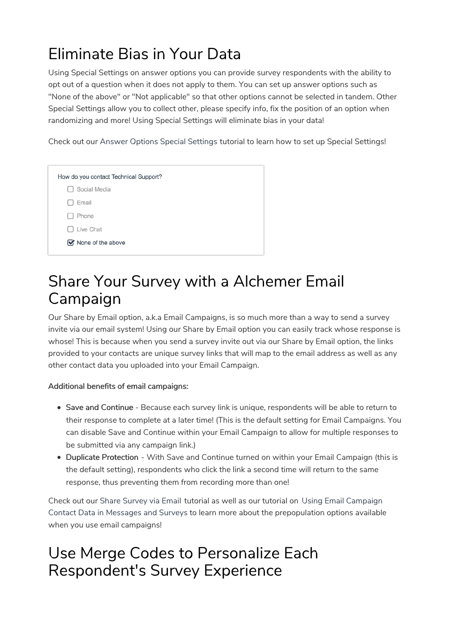# Eliminate Bias in Your Data

Using Special Settings on answer options you can provide survey respondents with the ability to opt out of a question when it does not apply to them. You can set up answer options such as "None of the above" or "Not applicable" so that other options cannot be selected in tandem. Other Special Settings allow you to collect other, please specify info, fix the position of an option when randomizing and more! Using Special Settings will eliminate bias in your data!

Check out our Answer Options Special Settings tutorial to learn how to set up Special Settings!

# Share Your Survey with a Alchemer Email Campaign

Our Share by Email option, a.k.a Email Campaigns, is so much more than a way to send a survey invite via our email system! Using our Share by Email option you can easily track whose response is whose! This is because when you send a survey invite out via our Share by Email option, the links provided to your contacts are unique survey links that will map to the email address as well as any other contact data you uploaded into your Email Campaign.

#### Additional benefits of email campaigns:

- Save and Continue Because each survey link is unique, respondents will be able to return to their response to complete at a later time! (This is the default setting for Email Campaigns. You can disable Save and Continue within your Email Campaign to allow for multiple responses to be submitted via any campaign link.)
- Duplicate Protection With Save and Continue turned on within your Email Campaign (this is the default setting), respondents who click the link a second time will return to the same response, thus preventing them from recording more than one!

Check out our Share Survey via Email tutorial as well as our tutorial on Using Email Campaign Contact Data in Messages and Surveys to learn more about the prepopulation options available when you use email campaigns!

#### Use Merge Codes to Personalize Each Respondent's Survey Experience